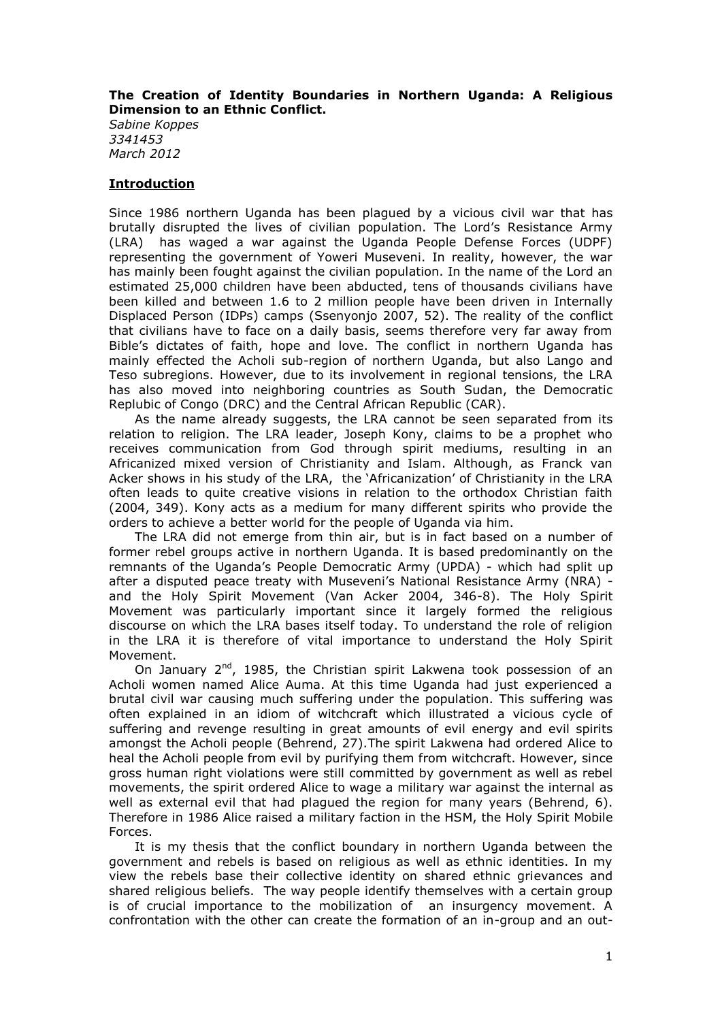## **The Creation of Identity Boundaries in Northern Uganda: A Religious Dimension to an Ethnic Conflict.**

*Sabine Koppes 3341453 March 2012*

### **Introduction**

Since 1986 northern Uganda has been plagued by a vicious civil war that has brutally disrupted the lives of civilian population. The Lord's Resistance Army (LRA) has waged a war against the Uganda People Defense Forces (UDPF) representing the government of Yoweri Museveni. In reality, however, the war has mainly been fought against the civilian population. In the name of the Lord an estimated 25,000 children have been abducted, tens of thousands civilians have been killed and between 1.6 to 2 million people have been driven in Internally Displaced Person (IDPs) camps (Ssenyonjo 2007, 52). The reality of the conflict that civilians have to face on a daily basis, seems therefore very far away from Bible's dictates of faith, hope and love. The conflict in northern Uganda has mainly effected the Acholi sub-region of northern Uganda, but also Lango and Teso subregions. However, due to its involvement in regional tensions, the LRA has also moved into neighboring countries as South Sudan, the Democratic Replubic of Congo (DRC) and the Central African Republic (CAR).

As the name already suggests, the LRA cannot be seen separated from its relation to religion. The LRA leader, Joseph Kony, claims to be a prophet who receives communication from God through spirit mediums, resulting in an Africanized mixed version of Christianity and Islam. Although, as Franck van Acker shows in his study of the LRA, the 'Africanization' of Christianity in the LRA often leads to quite creative visions in relation to the orthodox Christian faith (2004, 349). Kony acts as a medium for many different spirits who provide the orders to achieve a better world for the people of Uganda via him.

The LRA did not emerge from thin air, but is in fact based on a number of former rebel groups active in northern Uganda. It is based predominantly on the remnants of the Uganda's People Democratic Army (UPDA) - which had split up after a disputed peace treaty with Museveni's National Resistance Army (NRA) and the Holy Spirit Movement (Van Acker 2004, 346-8). The Holy Spirit Movement was particularly important since it largely formed the religious discourse on which the LRA bases itself today. To understand the role of religion in the LRA it is therefore of vital importance to understand the Holy Spirit Movement.

On January  $2^{nd}$ , 1985, the Christian spirit Lakwena took possession of an Acholi women named Alice Auma. At this time Uganda had just experienced a brutal civil war causing much suffering under the population. This suffering was often explained in an idiom of witchcraft which illustrated a vicious cycle of suffering and revenge resulting in great amounts of evil energy and evil spirits amongst the Acholi people (Behrend, 27).The spirit Lakwena had ordered Alice to heal the Acholi people from evil by purifying them from witchcraft. However, since gross human right violations were still committed by government as well as rebel movements, the spirit ordered Alice to wage a military war against the internal as well as external evil that had plagued the region for many years (Behrend, 6). Therefore in 1986 Alice raised a military faction in the HSM, the Holy Spirit Mobile Forces.

It is my thesis that the conflict boundary in northern Uganda between the government and rebels is based on religious as well as ethnic identities. In my view the rebels base their collective identity on shared ethnic grievances and shared religious beliefs. The way people identify themselves with a certain group is of crucial importance to the mobilization of an insurgency movement. A confrontation with the other can create the formation of an in-group and an out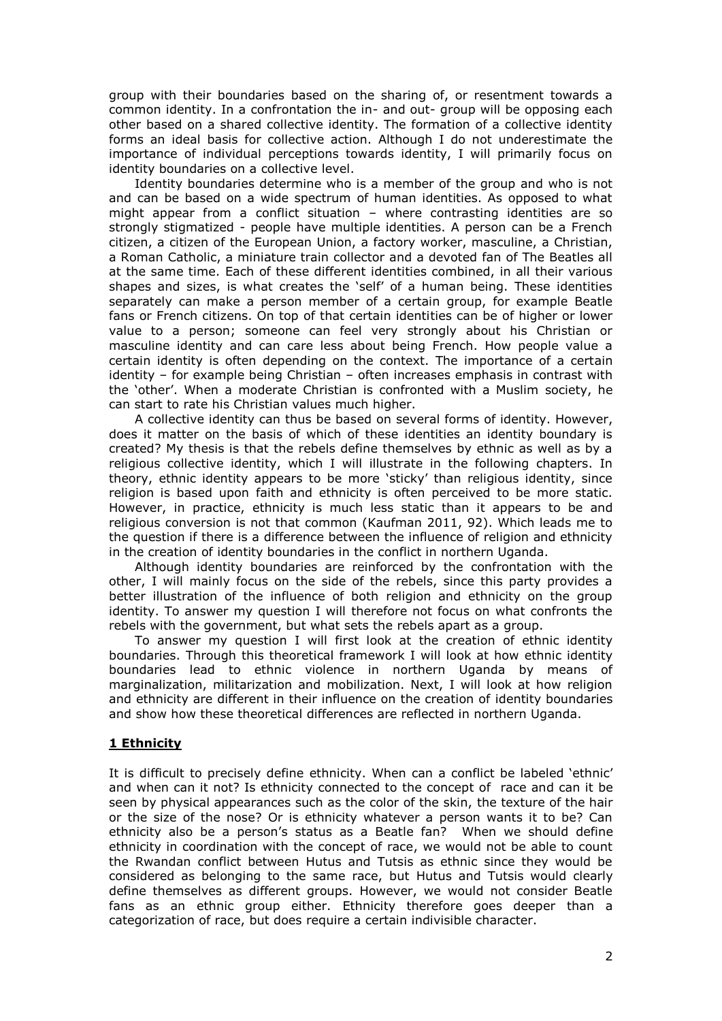group with their boundaries based on the sharing of, or resentment towards a common identity. In a confrontation the in- and out- group will be opposing each other based on a shared collective identity. The formation of a collective identity forms an ideal basis for collective action. Although I do not underestimate the importance of individual perceptions towards identity, I will primarily focus on identity boundaries on a collective level.

Identity boundaries determine who is a member of the group and who is not and can be based on a wide spectrum of human identities. As opposed to what might appear from a conflict situation – where contrasting identities are so strongly stigmatized - people have multiple identities. A person can be a French citizen, a citizen of the European Union, a factory worker, masculine, a Christian, a Roman Catholic, a miniature train collector and a devoted fan of The Beatles all at the same time. Each of these different identities combined, in all their various shapes and sizes, is what creates the 'self' of a human being. These identities separately can make a person member of a certain group, for example Beatle fans or French citizens. On top of that certain identities can be of higher or lower value to a person; someone can feel very strongly about his Christian or masculine identity and can care less about being French. How people value a certain identity is often depending on the context. The importance of a certain identity – for example being Christian – often increases emphasis in contrast with the 'other'. When a moderate Christian is confronted with a Muslim society, he can start to rate his Christian values much higher.

A collective identity can thus be based on several forms of identity. However, does it matter on the basis of which of these identities an identity boundary is created? My thesis is that the rebels define themselves by ethnic as well as by a religious collective identity, which I will illustrate in the following chapters. In theory, ethnic identity appears to be more 'sticky' than religious identity, since religion is based upon faith and ethnicity is often perceived to be more static. However, in practice, ethnicity is much less static than it appears to be and religious conversion is not that common (Kaufman 2011, 92). Which leads me to the question if there is a difference between the influence of religion and ethnicity in the creation of identity boundaries in the conflict in northern Uganda.

Although identity boundaries are reinforced by the confrontation with the other, I will mainly focus on the side of the rebels, since this party provides a better illustration of the influence of both religion and ethnicity on the group identity. To answer my question I will therefore not focus on what confronts the rebels with the government, but what sets the rebels apart as a group.

To answer my question I will first look at the creation of ethnic identity boundaries. Through this theoretical framework I will look at how ethnic identity boundaries lead to ethnic violence in northern Uganda by means of marginalization, militarization and mobilization. Next, I will look at how religion and ethnicity are different in their influence on the creation of identity boundaries and show how these theoretical differences are reflected in northern Uganda.

# **1 Ethnicity**

It is difficult to precisely define ethnicity. When can a conflict be labeled 'ethnic' and when can it not? Is ethnicity connected to the concept of race and can it be seen by physical appearances such as the color of the skin, the texture of the hair or the size of the nose? Or is ethnicity whatever a person wants it to be? Can ethnicity also be a person's status as a Beatle fan? When we should define ethnicity in coordination with the concept of race, we would not be able to count the Rwandan conflict between Hutus and Tutsis as ethnic since they would be considered as belonging to the same race, but Hutus and Tutsis would clearly define themselves as different groups. However, we would not consider Beatle fans as an ethnic group either. Ethnicity therefore goes deeper than a categorization of race, but does require a certain indivisible character.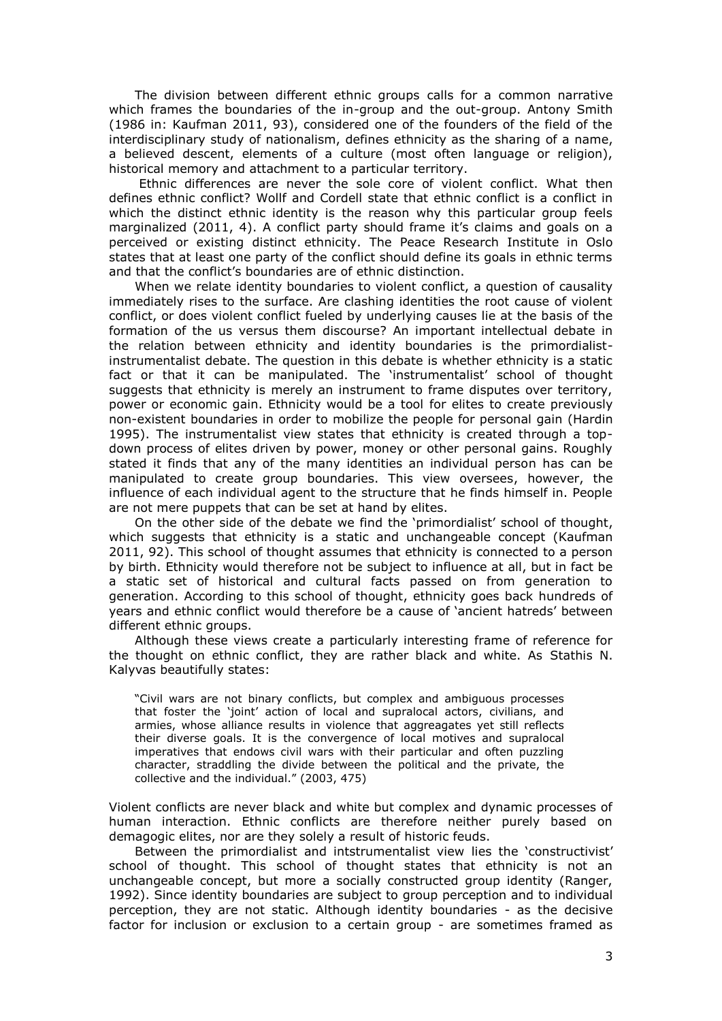The division between different ethnic groups calls for a common narrative which frames the boundaries of the in-group and the out-group. Antony Smith (1986 in: Kaufman 2011, 93), considered one of the founders of the field of the interdisciplinary study of nationalism, defines ethnicity as the sharing of a name, a believed descent, elements of a culture (most often language or religion), historical memory and attachment to a particular territory.

Ethnic differences are never the sole core of violent conflict. What then defines ethnic conflict? Wollf and Cordell state that ethnic conflict is a conflict in which the distinct ethnic identity is the reason why this particular group feels marginalized (2011, 4). A conflict party should frame it's claims and goals on a perceived or existing distinct ethnicity. The Peace Research Institute in Oslo states that at least one party of the conflict should define its goals in ethnic terms and that the conflict's boundaries are of ethnic distinction.

When we relate identity boundaries to violent conflict, a question of causality immediately rises to the surface. Are clashing identities the root cause of violent conflict, or does violent conflict fueled by underlying causes lie at the basis of the formation of the us versus them discourse? An important intellectual debate in the relation between ethnicity and identity boundaries is the primordialistinstrumentalist debate. The question in this debate is whether ethnicity is a static fact or that it can be manipulated. The 'instrumentalist' school of thought suggests that ethnicity is merely an instrument to frame disputes over territory, power or economic gain. Ethnicity would be a tool for elites to create previously non-existent boundaries in order to mobilize the people for personal gain (Hardin 1995). The instrumentalist view states that ethnicity is created through a topdown process of elites driven by power, money or other personal gains. Roughly stated it finds that any of the many identities an individual person has can be manipulated to create group boundaries. This view oversees, however, the influence of each individual agent to the structure that he finds himself in. People are not mere puppets that can be set at hand by elites.

On the other side of the debate we find the 'primordialist' school of thought, which suggests that ethnicity is a static and unchangeable concept (Kaufman 2011, 92). This school of thought assumes that ethnicity is connected to a person by birth. Ethnicity would therefore not be subject to influence at all, but in fact be a static set of historical and cultural facts passed on from generation to generation. According to this school of thought, ethnicity goes back hundreds of years and ethnic conflict would therefore be a cause of 'ancient hatreds' between different ethnic groups.

Although these views create a particularly interesting frame of reference for the thought on ethnic conflict, they are rather black and white. As Stathis N. Kalyvas beautifully states:

"Civil wars are not binary conflicts, but complex and ambiguous processes that foster the 'joint' action of local and supralocal actors, civilians, and armies, whose alliance results in violence that aggreagates yet still reflects their diverse goals. It is the convergence of local motives and supralocal imperatives that endows civil wars with their particular and often puzzling character, straddling the divide between the political and the private, the collective and the individual." (2003, 475)

Violent conflicts are never black and white but complex and dynamic processes of human interaction. Ethnic conflicts are therefore neither purely based on demagogic elites, nor are they solely a result of historic feuds.

Between the primordialist and intstrumentalist view lies the 'constructivist' school of thought. This school of thought states that ethnicity is not an unchangeable concept, but more a socially constructed group identity (Ranger, 1992). Since identity boundaries are subject to group perception and to individual perception, they are not static. Although identity boundaries - as the decisive factor for inclusion or exclusion to a certain group - are sometimes framed as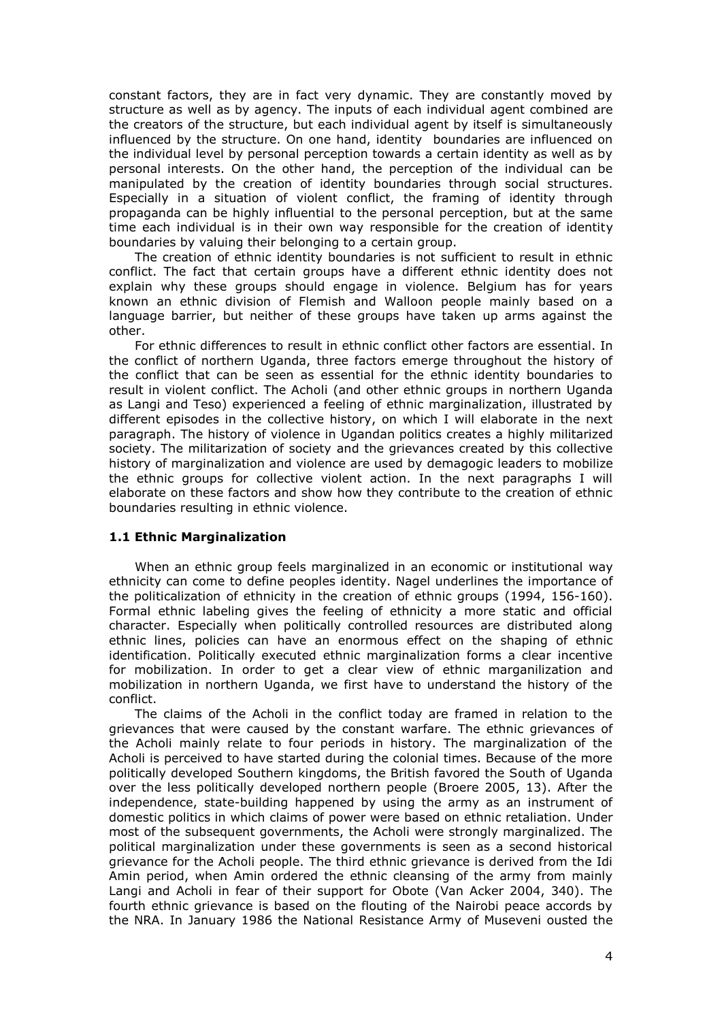constant factors, they are in fact very dynamic. They are constantly moved by structure as well as by agency. The inputs of each individual agent combined are the creators of the structure, but each individual agent by itself is simultaneously influenced by the structure. On one hand, identity boundaries are influenced on the individual level by personal perception towards a certain identity as well as by personal interests. On the other hand, the perception of the individual can be manipulated by the creation of identity boundaries through social structures. Especially in a situation of violent conflict, the framing of identity through propaganda can be highly influential to the personal perception, but at the same time each individual is in their own way responsible for the creation of identity boundaries by valuing their belonging to a certain group.

The creation of ethnic identity boundaries is not sufficient to result in ethnic conflict. The fact that certain groups have a different ethnic identity does not explain why these groups should engage in violence. Belgium has for years known an ethnic division of Flemish and Walloon people mainly based on a language barrier, but neither of these groups have taken up arms against the other.

For ethnic differences to result in ethnic conflict other factors are essential. In the conflict of northern Uganda, three factors emerge throughout the history of the conflict that can be seen as essential for the ethnic identity boundaries to result in violent conflict. The Acholi (and other ethnic groups in northern Uganda as Langi and Teso) experienced a feeling of ethnic marginalization, illustrated by different episodes in the collective history, on which I will elaborate in the next paragraph. The history of violence in Ugandan politics creates a highly militarized society. The militarization of society and the grievances created by this collective history of marginalization and violence are used by demagogic leaders to mobilize the ethnic groups for collective violent action. In the next paragraphs I will elaborate on these factors and show how they contribute to the creation of ethnic boundaries resulting in ethnic violence.

#### **1.1 Ethnic Marginalization**

When an ethnic group feels marginalized in an economic or institutional way ethnicity can come to define peoples identity. Nagel underlines the importance of the politicalization of ethnicity in the creation of ethnic groups (1994, 156-160). Formal ethnic labeling gives the feeling of ethnicity a more static and official character. Especially when politically controlled resources are distributed along ethnic lines, policies can have an enormous effect on the shaping of ethnic identification. Politically executed ethnic marginalization forms a clear incentive for mobilization. In order to get a clear view of ethnic marganilization and mobilization in northern Uganda, we first have to understand the history of the conflict.

The claims of the Acholi in the conflict today are framed in relation to the grievances that were caused by the constant warfare. The ethnic grievances of the Acholi mainly relate to four periods in history. The marginalization of the Acholi is perceived to have started during the colonial times. Because of the more politically developed Southern kingdoms, the British favored the South of Uganda over the less politically developed northern people (Broere 2005, 13). After the independence, state-building happened by using the army as an instrument of domestic politics in which claims of power were based on ethnic retaliation. Under most of the subsequent governments, the Acholi were strongly marginalized. The political marginalization under these governments is seen as a second historical grievance for the Acholi people. The third ethnic grievance is derived from the Idi Amin period, when Amin ordered the ethnic cleansing of the army from mainly Langi and Acholi in fear of their support for Obote (Van Acker 2004, 340). The fourth ethnic grievance is based on the flouting of the Nairobi peace accords by the NRA. In January 1986 the National Resistance Army of Museveni ousted the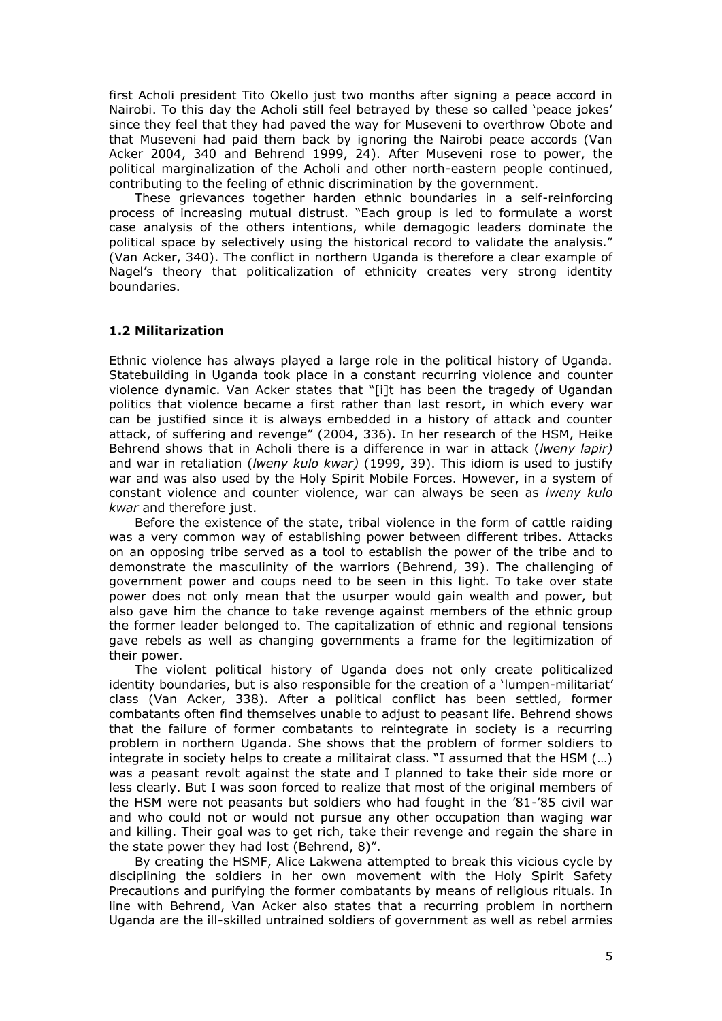first Acholi president Tito Okello just two months after signing a peace accord in Nairobi. To this day the Acholi still feel betrayed by these so called 'peace jokes' since they feel that they had paved the way for Museveni to overthrow Obote and that Museveni had paid them back by ignoring the Nairobi peace accords (Van Acker 2004, 340 and Behrend 1999, 24). After Museveni rose to power, the political marginalization of the Acholi and other north-eastern people continued, contributing to the feeling of ethnic discrimination by the government.

These grievances together harden ethnic boundaries in a self-reinforcing process of increasing mutual distrust. "Each group is led to formulate a worst case analysis of the others intentions, while demagogic leaders dominate the political space by selectively using the historical record to validate the analysis." (Van Acker, 340). The conflict in northern Uganda is therefore a clear example of Nagel's theory that politicalization of ethnicity creates very strong identity boundaries.

#### **1.2 Militarization**

Ethnic violence has always played a large role in the political history of Uganda. Statebuilding in Uganda took place in a constant recurring violence and counter violence dynamic. Van Acker states that "[i]t has been the tragedy of Ugandan politics that violence became a first rather than last resort, in which every war can be justified since it is always embedded in a history of attack and counter attack, of suffering and revenge" (2004, 336). In her research of the HSM, Heike Behrend shows that in Acholi there is a difference in war in attack (*lweny lapir)*  and war in retaliation (*lweny kulo kwar)* (1999, 39). This idiom is used to justify war and was also used by the Holy Spirit Mobile Forces. However, in a system of constant violence and counter violence, war can always be seen as *lweny kulo kwar* and therefore just.

Before the existence of the state, tribal violence in the form of cattle raiding was a very common way of establishing power between different tribes. Attacks on an opposing tribe served as a tool to establish the power of the tribe and to demonstrate the masculinity of the warriors (Behrend, 39). The challenging of government power and coups need to be seen in this light. To take over state power does not only mean that the usurper would gain wealth and power, but also gave him the chance to take revenge against members of the ethnic group the former leader belonged to. The capitalization of ethnic and regional tensions gave rebels as well as changing governments a frame for the legitimization of their power.

The violent political history of Uganda does not only create politicalized identity boundaries, but is also responsible for the creation of a 'lumpen-militariat' class (Van Acker, 338). After a political conflict has been settled, former combatants often find themselves unable to adjust to peasant life. Behrend shows that the failure of former combatants to reintegrate in society is a recurring problem in northern Uganda. She shows that the problem of former soldiers to integrate in society helps to create a militairat class. "I assumed that the HSM (…) was a peasant revolt against the state and I planned to take their side more or less clearly. But I was soon forced to realize that most of the original members of the HSM were not peasants but soldiers who had fought in the '81-'85 civil war and who could not or would not pursue any other occupation than waging war and killing. Their goal was to get rich, take their revenge and regain the share in the state power they had lost (Behrend, 8)".

By creating the HSMF, Alice Lakwena attempted to break this vicious cycle by disciplining the soldiers in her own movement with the Holy Spirit Safety Precautions and purifying the former combatants by means of religious rituals. In line with Behrend, Van Acker also states that a recurring problem in northern Uganda are the ill-skilled untrained soldiers of government as well as rebel armies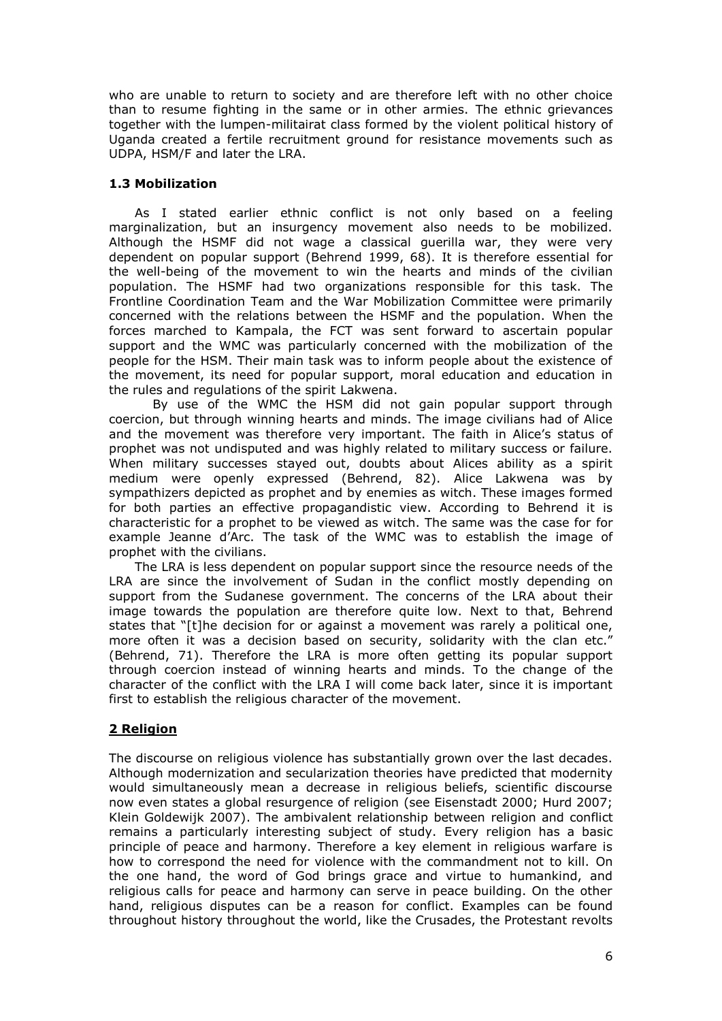who are unable to return to society and are therefore left with no other choice than to resume fighting in the same or in other armies. The ethnic grievances together with the lumpen-militairat class formed by the violent political history of Uganda created a fertile recruitment ground for resistance movements such as UDPA, HSM/F and later the LRA.

# **1.3 Mobilization**

As I stated earlier ethnic conflict is not only based on a feeling marginalization, but an insurgency movement also needs to be mobilized. Although the HSMF did not wage a classical guerilla war, they were very dependent on popular support (Behrend 1999, 68). It is therefore essential for the well-being of the movement to win the hearts and minds of the civilian population. The HSMF had two organizations responsible for this task. The Frontline Coordination Team and the War Mobilization Committee were primarily concerned with the relations between the HSMF and the population. When the forces marched to Kampala, the FCT was sent forward to ascertain popular support and the WMC was particularly concerned with the mobilization of the people for the HSM. Their main task was to inform people about the existence of the movement, its need for popular support, moral education and education in the rules and regulations of the spirit Lakwena.

By use of the WMC the HSM did not gain popular support through coercion, but through winning hearts and minds. The image civilians had of Alice and the movement was therefore very important. The faith in Alice's status of prophet was not undisputed and was highly related to military success or failure. When military successes stayed out, doubts about Alices ability as a spirit medium were openly expressed (Behrend, 82). Alice Lakwena was by sympathizers depicted as prophet and by enemies as witch. These images formed for both parties an effective propagandistic view. According to Behrend it is characteristic for a prophet to be viewed as witch. The same was the case for for example Jeanne d'Arc. The task of the WMC was to establish the image of prophet with the civilians.

The LRA is less dependent on popular support since the resource needs of the LRA are since the involvement of Sudan in the conflict mostly depending on support from the Sudanese government. The concerns of the LRA about their image towards the population are therefore quite low. Next to that, Behrend states that "[t]he decision for or against a movement was rarely a political one, more often it was a decision based on security, solidarity with the clan etc." (Behrend, 71). Therefore the LRA is more often getting its popular support through coercion instead of winning hearts and minds. To the change of the character of the conflict with the LRA I will come back later, since it is important first to establish the religious character of the movement.

# **2 Religion**

The discourse on religious violence has substantially grown over the last decades. Although modernization and secularization theories have predicted that modernity would simultaneously mean a decrease in religious beliefs, scientific discourse now even states a global resurgence of religion (see Eisenstadt 2000; Hurd 2007; Klein Goldewijk 2007). The ambivalent relationship between religion and conflict remains a particularly interesting subject of study. Every religion has a basic principle of peace and harmony. Therefore a key element in religious warfare is how to correspond the need for violence with the commandment not to kill. On the one hand, the word of God brings grace and virtue to humankind, and religious calls for peace and harmony can serve in peace building. On the other hand, religious disputes can be a reason for conflict. Examples can be found throughout history throughout the world, like the Crusades, the Protestant revolts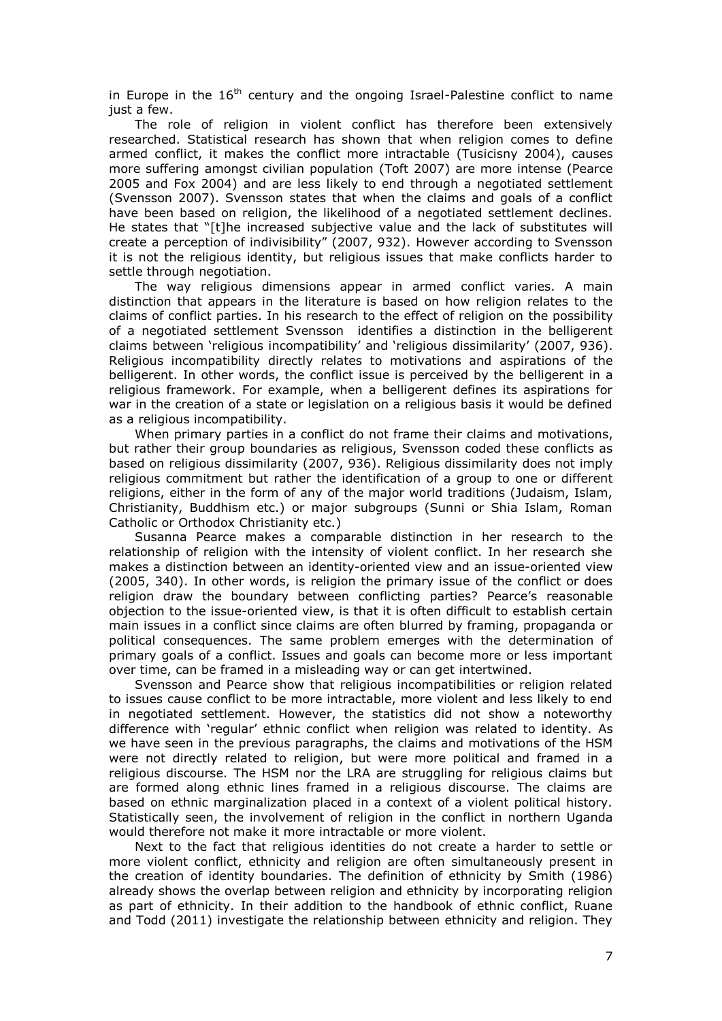in Europe in the  $16<sup>th</sup>$  century and the ongoing Israel-Palestine conflict to name just a few.

The role of religion in violent conflict has therefore been extensively researched. Statistical research has shown that when religion comes to define armed conflict, it makes the conflict more intractable (Tusicisny 2004), causes more suffering amongst civilian population (Toft 2007) are more intense (Pearce 2005 and Fox 2004) and are less likely to end through a negotiated settlement (Svensson 2007). Svensson states that when the claims and goals of a conflict have been based on religion, the likelihood of a negotiated settlement declines. He states that "[t]he increased subjective value and the lack of substitutes will create a perception of indivisibility" (2007, 932). However according to Svensson it is not the religious identity, but religious issues that make conflicts harder to settle through negotiation.

The way religious dimensions appear in armed conflict varies. A main distinction that appears in the literature is based on how religion relates to the claims of conflict parties. In his research to the effect of religion on the possibility of a negotiated settlement Svensson identifies a distinction in the belligerent claims between 'religious incompatibility' and 'religious dissimilarity' (2007, 936). Religious incompatibility directly relates to motivations and aspirations of the belligerent. In other words, the conflict issue is perceived by the belligerent in a religious framework. For example, when a belligerent defines its aspirations for war in the creation of a state or legislation on a religious basis it would be defined as a religious incompatibility.

When primary parties in a conflict do not frame their claims and motivations, but rather their group boundaries as religious, Svensson coded these conflicts as based on religious dissimilarity (2007, 936). Religious dissimilarity does not imply religious commitment but rather the identification of a group to one or different religions, either in the form of any of the major world traditions (Judaism, Islam, Christianity, Buddhism etc.) or major subgroups (Sunni or Shia Islam, Roman Catholic or Orthodox Christianity etc.)

Susanna Pearce makes a comparable distinction in her research to the relationship of religion with the intensity of violent conflict. In her research she makes a distinction between an identity-oriented view and an issue-oriented view (2005, 340). In other words, is religion the primary issue of the conflict or does religion draw the boundary between conflicting parties? Pearce's reasonable objection to the issue-oriented view, is that it is often difficult to establish certain main issues in a conflict since claims are often blurred by framing, propaganda or political consequences. The same problem emerges with the determination of primary goals of a conflict. Issues and goals can become more or less important over time, can be framed in a misleading way or can get intertwined.

Svensson and Pearce show that religious incompatibilities or religion related to issues cause conflict to be more intractable, more violent and less likely to end in negotiated settlement. However, the statistics did not show a noteworthy difference with 'regular' ethnic conflict when religion was related to identity. As we have seen in the previous paragraphs, the claims and motivations of the HSM were not directly related to religion, but were more political and framed in a religious discourse. The HSM nor the LRA are struggling for religious claims but are formed along ethnic lines framed in a religious discourse. The claims are based on ethnic marginalization placed in a context of a violent political history. Statistically seen, the involvement of religion in the conflict in northern Uganda would therefore not make it more intractable or more violent.

Next to the fact that religious identities do not create a harder to settle or more violent conflict, ethnicity and religion are often simultaneously present in the creation of identity boundaries. The definition of ethnicity by Smith (1986) already shows the overlap between religion and ethnicity by incorporating religion as part of ethnicity. In their addition to the handbook of ethnic conflict, Ruane and Todd (2011) investigate the relationship between ethnicity and religion. They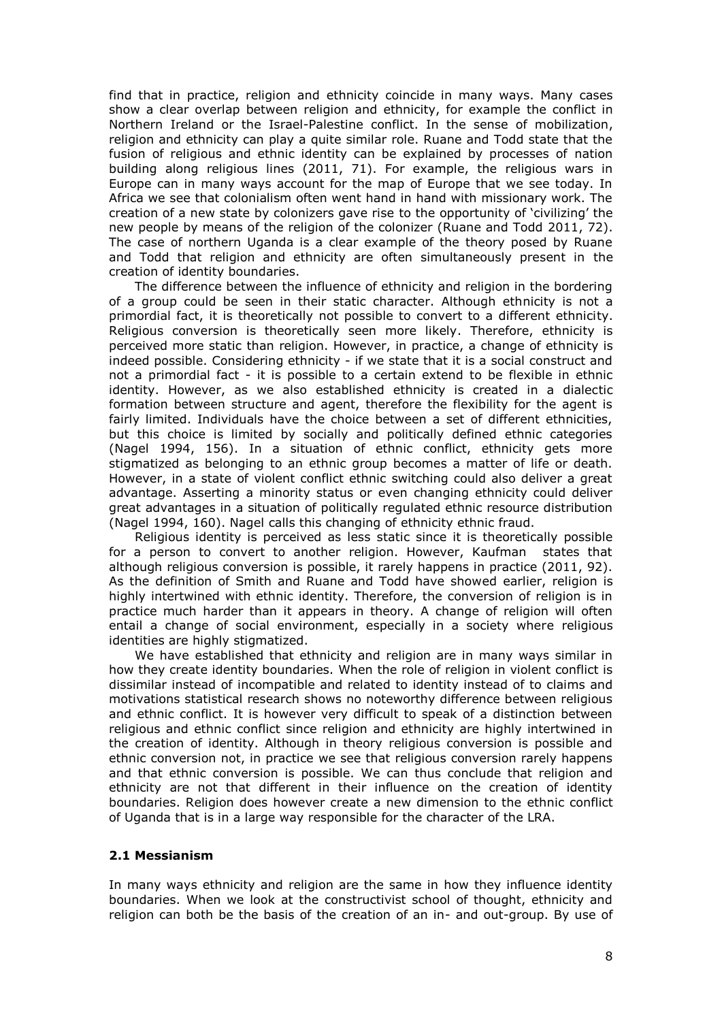find that in practice, religion and ethnicity coincide in many ways. Many cases show a clear overlap between religion and ethnicity, for example the conflict in Northern Ireland or the Israel-Palestine conflict. In the sense of mobilization, religion and ethnicity can play a quite similar role. Ruane and Todd state that the fusion of religious and ethnic identity can be explained by processes of nation building along religious lines (2011, 71). For example, the religious wars in Europe can in many ways account for the map of Europe that we see today. In Africa we see that colonialism often went hand in hand with missionary work. The creation of a new state by colonizers gave rise to the opportunity of 'civilizing' the new people by means of the religion of the colonizer (Ruane and Todd 2011, 72). The case of northern Uganda is a clear example of the theory posed by Ruane and Todd that religion and ethnicity are often simultaneously present in the creation of identity boundaries.

The difference between the influence of ethnicity and religion in the bordering of a group could be seen in their static character. Although ethnicity is not a primordial fact, it is theoretically not possible to convert to a different ethnicity. Religious conversion is theoretically seen more likely. Therefore, ethnicity is perceived more static than religion. However, in practice, a change of ethnicity is indeed possible. Considering ethnicity - if we state that it is a social construct and not a primordial fact - it is possible to a certain extend to be flexible in ethnic identity. However, as we also established ethnicity is created in a dialectic formation between structure and agent, therefore the flexibility for the agent is fairly limited. Individuals have the choice between a set of different ethnicities, but this choice is limited by socially and politically defined ethnic categories (Nagel 1994, 156). In a situation of ethnic conflict, ethnicity gets more stigmatized as belonging to an ethnic group becomes a matter of life or death. However, in a state of violent conflict ethnic switching could also deliver a great advantage. Asserting a minority status or even changing ethnicity could deliver great advantages in a situation of politically regulated ethnic resource distribution (Nagel 1994, 160). Nagel calls this changing of ethnicity ethnic fraud.

Religious identity is perceived as less static since it is theoretically possible for a person to convert to another religion. However, Kaufman states that although religious conversion is possible, it rarely happens in practice (2011, 92). As the definition of Smith and Ruane and Todd have showed earlier, religion is highly intertwined with ethnic identity. Therefore, the conversion of religion is in practice much harder than it appears in theory. A change of religion will often entail a change of social environment, especially in a society where religious identities are highly stigmatized.

We have established that ethnicity and religion are in many ways similar in how they create identity boundaries. When the role of religion in violent conflict is dissimilar instead of incompatible and related to identity instead of to claims and motivations statistical research shows no noteworthy difference between religious and ethnic conflict. It is however very difficult to speak of a distinction between religious and ethnic conflict since religion and ethnicity are highly intertwined in the creation of identity. Although in theory religious conversion is possible and ethnic conversion not, in practice we see that religious conversion rarely happens and that ethnic conversion is possible. We can thus conclude that religion and ethnicity are not that different in their influence on the creation of identity boundaries. Religion does however create a new dimension to the ethnic conflict of Uganda that is in a large way responsible for the character of the LRA.

### **2.1 Messianism**

In many ways ethnicity and religion are the same in how they influence identity boundaries. When we look at the constructivist school of thought, ethnicity and religion can both be the basis of the creation of an in- and out-group. By use of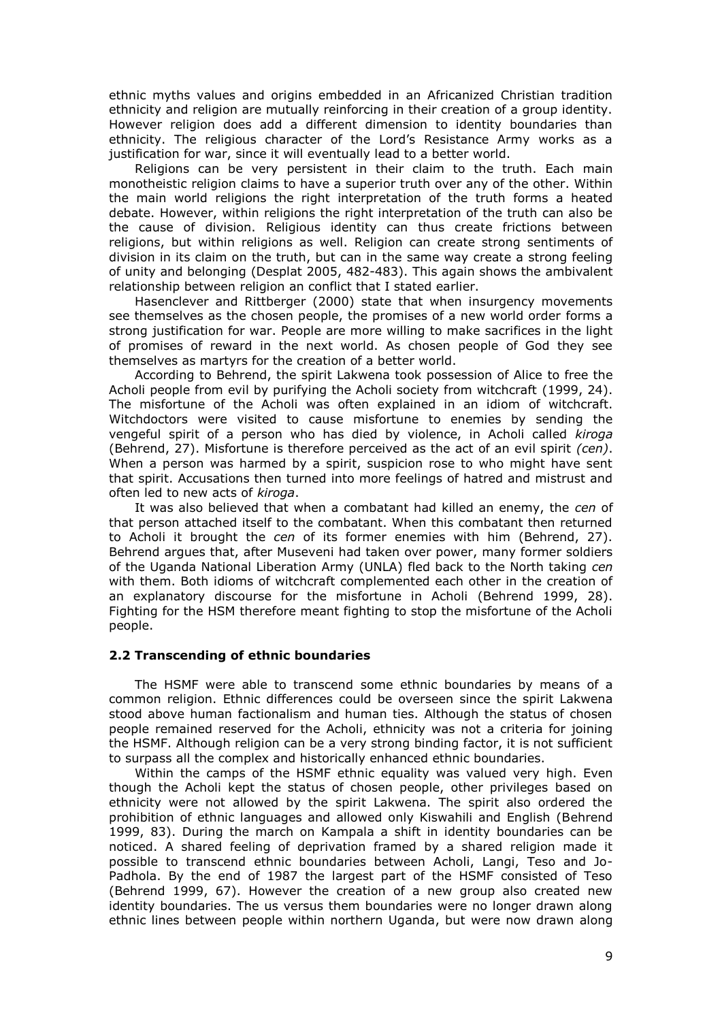ethnic myths values and origins embedded in an Africanized Christian tradition ethnicity and religion are mutually reinforcing in their creation of a group identity. However religion does add a different dimension to identity boundaries than ethnicity. The religious character of the Lord's Resistance Army works as a justification for war, since it will eventually lead to a better world.

Religions can be very persistent in their claim to the truth. Each main monotheistic religion claims to have a superior truth over any of the other. Within the main world religions the right interpretation of the truth forms a heated debate. However, within religions the right interpretation of the truth can also be the cause of division. Religious identity can thus create frictions between religions, but within religions as well. Religion can create strong sentiments of division in its claim on the truth, but can in the same way create a strong feeling of unity and belonging (Desplat 2005, 482-483). This again shows the ambivalent relationship between religion an conflict that I stated earlier.

Hasenclever and Rittberger (2000) state that when insurgency movements see themselves as the chosen people, the promises of a new world order forms a strong justification for war. People are more willing to make sacrifices in the light of promises of reward in the next world. As chosen people of God they see themselves as martyrs for the creation of a better world.

According to Behrend, the spirit Lakwena took possession of Alice to free the Acholi people from evil by purifying the Acholi society from witchcraft (1999, 24). The misfortune of the Acholi was often explained in an idiom of witchcraft. Witchdoctors were visited to cause misfortune to enemies by sending the vengeful spirit of a person who has died by violence, in Acholi called *kiroga* (Behrend, 27). Misfortune is therefore perceived as the act of an evil spirit *(cen)*. When a person was harmed by a spirit, suspicion rose to who might have sent that spirit. Accusations then turned into more feelings of hatred and mistrust and often led to new acts of *kiroga*.

It was also believed that when a combatant had killed an enemy, the *cen* of that person attached itself to the combatant. When this combatant then returned to Acholi it brought the *cen* of its former enemies with him (Behrend, 27). Behrend argues that, after Museveni had taken over power, many former soldiers of the Uganda National Liberation Army (UNLA) fled back to the North taking *cen*  with them. Both idioms of witchcraft complemented each other in the creation of an explanatory discourse for the misfortune in Acholi (Behrend 1999, 28). Fighting for the HSM therefore meant fighting to stop the misfortune of the Acholi people.

#### **2.2 Transcending of ethnic boundaries**

The HSMF were able to transcend some ethnic boundaries by means of a common religion. Ethnic differences could be overseen since the spirit Lakwena stood above human factionalism and human ties. Although the status of chosen people remained reserved for the Acholi, ethnicity was not a criteria for joining the HSMF. Although religion can be a very strong binding factor, it is not sufficient to surpass all the complex and historically enhanced ethnic boundaries.

Within the camps of the HSMF ethnic equality was valued very high. Even though the Acholi kept the status of chosen people, other privileges based on ethnicity were not allowed by the spirit Lakwena. The spirit also ordered the prohibition of ethnic languages and allowed only Kiswahili and English (Behrend 1999, 83). During the march on Kampala a shift in identity boundaries can be noticed. A shared feeling of deprivation framed by a shared religion made it possible to transcend ethnic boundaries between Acholi, Langi, Teso and Jo-Padhola. By the end of 1987 the largest part of the HSMF consisted of Teso (Behrend 1999, 67). However the creation of a new group also created new identity boundaries. The us versus them boundaries were no longer drawn along ethnic lines between people within northern Uganda, but were now drawn along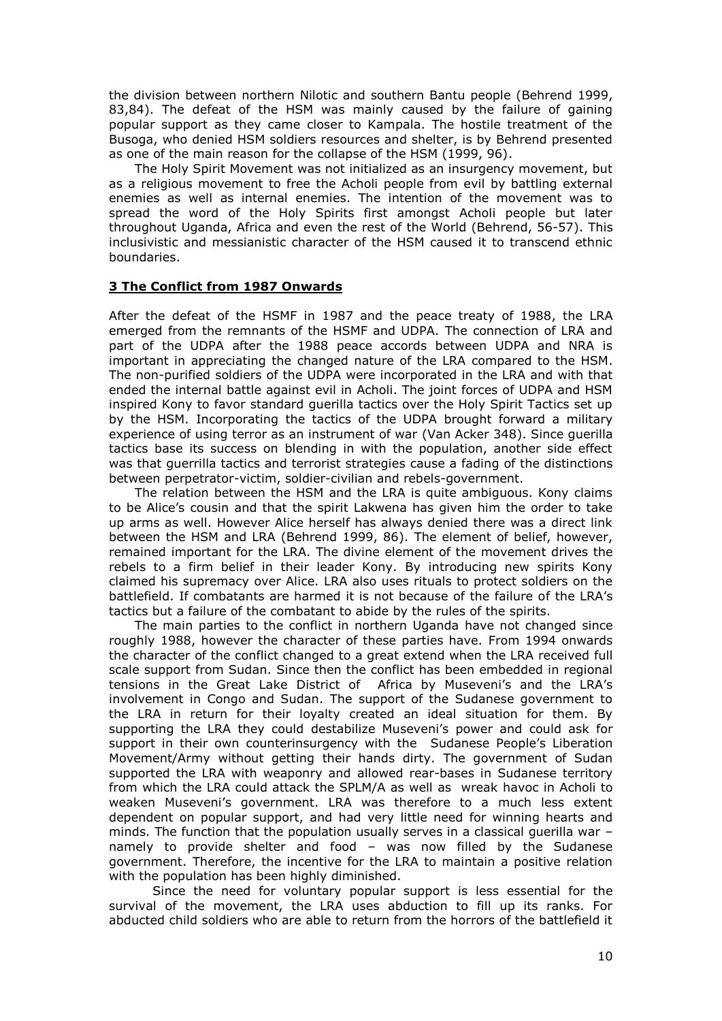the division between northern Nilotic and southern Bantu people (Behrend 1999, 83,84). The defeat of the HSM was mainly caused by the failure of gaining popular support as they came closer to Kampala. The hostile treatment of the Busoga, who denied HSM soldiers resources and shelter, is by Behrend presented as one of the main reason for the collapse of the HSM (1999, 96).

The Holy Spirit Movement was not initialized as an insurgency movement, but as a religious movement to free the Acholi people from evil by battling external enemies as well as internal enemies. The intention of the movement was to spread the word of the Holy Spirits first amongst Acholi people but later throughout Uganda, Africa and even the rest of the World (Behrend, 56-57). This inclusivistic and messianistic character of the HSM caused it to transcend ethnic boundaries.

#### **3 The Conflict from 1987 Onwards**

After the defeat of the HSMF in 1987 and the peace treaty of 1988, the LRA emerged from the remnants of the HSMF and UDPA. The connection of LRA and part of the UDPA after the 1988 peace accords between UDPA and NRA is important in appreciating the changed nature of the LRA compared to the HSM. The non-purified soldiers of the UDPA were incorporated in the LRA and with that ended the internal battle against evil in Acholi. The joint forces of UDPA and HSM inspired Kony to favor standard guerilla tactics over the Holy Spirit Tactics set up by the HSM. Incorporating the tactics of the UDPA brought forward a military experience of using terror as an instrument of war (Van Acker 348). Since guerilla tactics base its success on blending in with the population, another side effect was that guerrilla tactics and terrorist strategies cause a fading of the distinctions between perpetrator-victim, soldier-civilian and rebels-government.

The relation between the HSM and the LRA is quite ambiguous. Kony claims to be Alice's cousin and that the spirit Lakwena has given him the order to take up arms as well. However Alice herself has always denied there was a direct link between the HSM and LRA (Behrend 1999, 86). The element of belief, however, remained important for the LRA. The divine element of the movement drives the rebels to a firm belief in their leader Kony. By introducing new spirits Kony claimed his supremacy over Alice. LRA also uses rituals to protect soldiers on the battlefield. If combatants are harmed it is not because of the failure of the LRA's tactics but a failure of the combatant to abide by the rules of the spirits.

The main parties to the conflict in northern Uganda have not changed since roughly 1988, however the character of these parties have. From 1994 onwards the character of the conflict changed to a great extend when the LRA received full scale support from Sudan. Since then the conflict has been embedded in regional tensions in the Great Lake District of Africa by Museveni's and the LRA's involvement in Congo and Sudan. The support of the Sudanese government to the LRA in return for their loyalty created an ideal situation for them. By supporting the LRA they could destabilize Museveni's power and could ask for support in their own counterinsurgency with the Sudanese People's Liberation Movement/Army without getting their hands dirty. The government of Sudan supported the LRA with weaponry and allowed rear-bases in Sudanese territory from which the LRA could attack the SPLM/A as well as wreak havoc in Acholi to weaken Museveni's government. LRA was therefore to a much less extent dependent on popular support, and had very little need for winning hearts and minds. The function that the population usually serves in a classical guerilla war – namely to provide shelter and food – was now filled by the Sudanese government. Therefore, the incentive for the LRA to maintain a positive relation with the population has been highly diminished.

Since the need for voluntary popular support is less essential for the survival of the movement, the LRA uses abduction to fill up its ranks. For abducted child soldiers who are able to return from the horrors of the battlefield it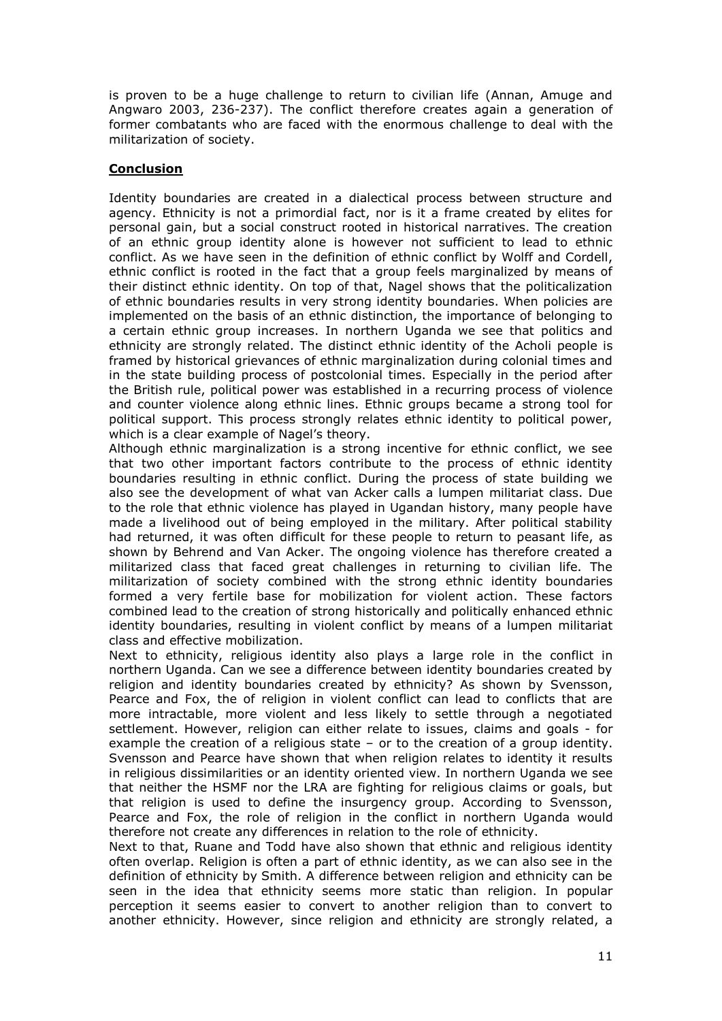is proven to be a huge challenge to return to civilian life (Annan, Amuge and Angwaro 2003, 236-237). The conflict therefore creates again a generation of former combatants who are faced with the enormous challenge to deal with the militarization of society.

# **Conclusion**

Identity boundaries are created in a dialectical process between structure and agency. Ethnicity is not a primordial fact, nor is it a frame created by elites for personal gain, but a social construct rooted in historical narratives. The creation of an ethnic group identity alone is however not sufficient to lead to ethnic conflict. As we have seen in the definition of ethnic conflict by Wolff and Cordell, ethnic conflict is rooted in the fact that a group feels marginalized by means of their distinct ethnic identity. On top of that, Nagel shows that the politicalization of ethnic boundaries results in very strong identity boundaries. When policies are implemented on the basis of an ethnic distinction, the importance of belonging to a certain ethnic group increases. In northern Uganda we see that politics and ethnicity are strongly related. The distinct ethnic identity of the Acholi people is framed by historical grievances of ethnic marginalization during colonial times and in the state building process of postcolonial times. Especially in the period after the British rule, political power was established in a recurring process of violence and counter violence along ethnic lines. Ethnic groups became a strong tool for political support. This process strongly relates ethnic identity to political power, which is a clear example of Nagel's theory.

Although ethnic marginalization is a strong incentive for ethnic conflict, we see that two other important factors contribute to the process of ethnic identity boundaries resulting in ethnic conflict. During the process of state building we also see the development of what van Acker calls a lumpen militariat class. Due to the role that ethnic violence has played in Ugandan history, many people have made a livelihood out of being employed in the military. After political stability had returned, it was often difficult for these people to return to peasant life, as shown by Behrend and Van Acker. The ongoing violence has therefore created a militarized class that faced great challenges in returning to civilian life. The militarization of society combined with the strong ethnic identity boundaries formed a very fertile base for mobilization for violent action. These factors combined lead to the creation of strong historically and politically enhanced ethnic identity boundaries, resulting in violent conflict by means of a lumpen militariat class and effective mobilization.

Next to ethnicity, religious identity also plays a large role in the conflict in northern Uganda. Can we see a difference between identity boundaries created by religion and identity boundaries created by ethnicity? As shown by Svensson, Pearce and Fox, the of religion in violent conflict can lead to conflicts that are more intractable, more violent and less likely to settle through a negotiated settlement. However, religion can either relate to issues, claims and goals - for example the creation of a religious state – or to the creation of a group identity. Svensson and Pearce have shown that when religion relates to identity it results in religious dissimilarities or an identity oriented view. In northern Uganda we see that neither the HSMF nor the LRA are fighting for religious claims or goals, but that religion is used to define the insurgency group. According to Svensson, Pearce and Fox, the role of religion in the conflict in northern Uganda would therefore not create any differences in relation to the role of ethnicity.

Next to that, Ruane and Todd have also shown that ethnic and religious identity often overlap. Religion is often a part of ethnic identity, as we can also see in the definition of ethnicity by Smith. A difference between religion and ethnicity can be seen in the idea that ethnicity seems more static than religion. In popular perception it seems easier to convert to another religion than to convert to another ethnicity. However, since religion and ethnicity are strongly related, a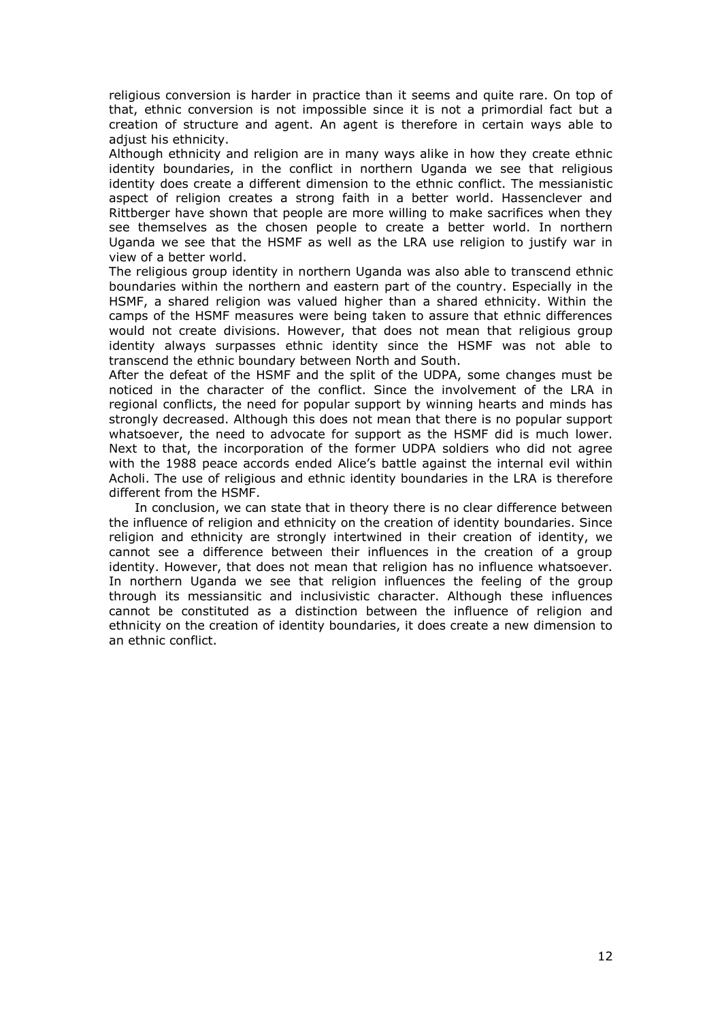religious conversion is harder in practice than it seems and quite rare. On top of that, ethnic conversion is not impossible since it is not a primordial fact but a creation of structure and agent. An agent is therefore in certain ways able to adjust his ethnicity.

Although ethnicity and religion are in many ways alike in how they create ethnic identity boundaries, in the conflict in northern Uganda we see that religious identity does create a different dimension to the ethnic conflict. The messianistic aspect of religion creates a strong faith in a better world. Hassenclever and Rittberger have shown that people are more willing to make sacrifices when they see themselves as the chosen people to create a better world. In northern Uganda we see that the HSMF as well as the LRA use religion to justify war in view of a better world.

The religious group identity in northern Uganda was also able to transcend ethnic boundaries within the northern and eastern part of the country. Especially in the HSMF, a shared religion was valued higher than a shared ethnicity. Within the camps of the HSMF measures were being taken to assure that ethnic differences would not create divisions. However, that does not mean that religious group identity always surpasses ethnic identity since the HSMF was not able to transcend the ethnic boundary between North and South.

After the defeat of the HSMF and the split of the UDPA, some changes must be noticed in the character of the conflict. Since the involvement of the LRA in regional conflicts, the need for popular support by winning hearts and minds has strongly decreased. Although this does not mean that there is no popular support whatsoever, the need to advocate for support as the HSMF did is much lower. Next to that, the incorporation of the former UDPA soldiers who did not agree with the 1988 peace accords ended Alice's battle against the internal evil within Acholi. The use of religious and ethnic identity boundaries in the LRA is therefore different from the HSMF.

In conclusion, we can state that in theory there is no clear difference between the influence of religion and ethnicity on the creation of identity boundaries. Since religion and ethnicity are strongly intertwined in their creation of identity, we cannot see a difference between their influences in the creation of a group identity. However, that does not mean that religion has no influence whatsoever. In northern Uganda we see that religion influences the feeling of the group through its messiansitic and inclusivistic character. Although these influences cannot be constituted as a distinction between the influence of religion and ethnicity on the creation of identity boundaries, it does create a new dimension to an ethnic conflict.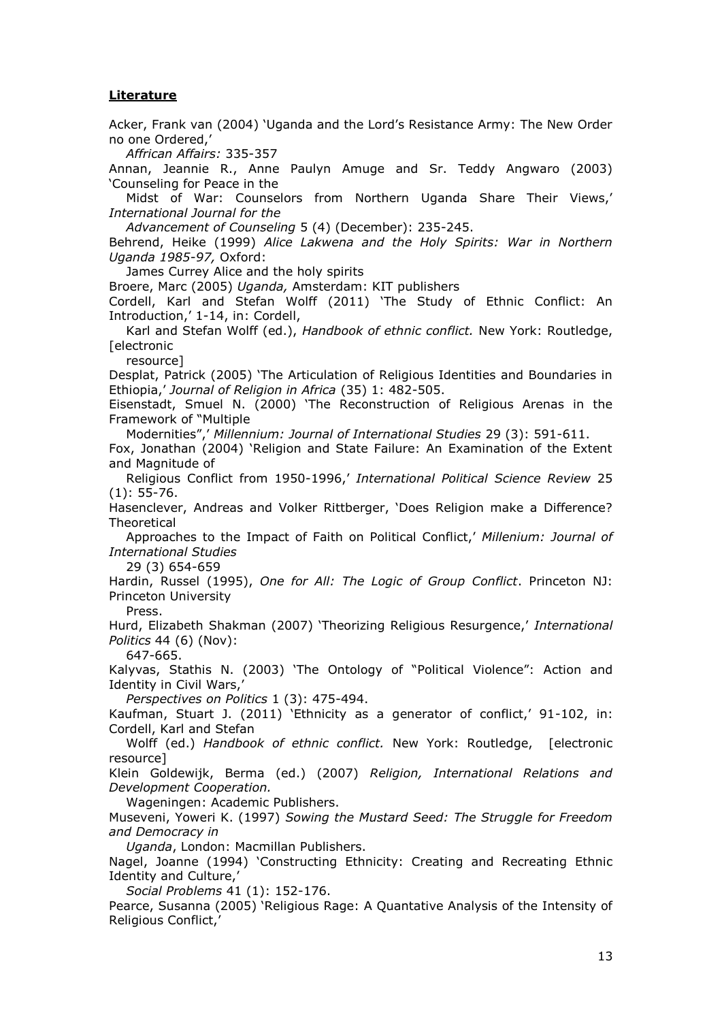## **Literature**

Acker, Frank van (2004) 'Uganda and the Lord's Resistance Army: The New Order no one Ordered,'

*Affrican Affairs:* 335-357

Annan, Jeannie R., Anne Paulyn Amuge and Sr. Teddy Angwaro (2003) 'Counseling for Peace in the

Midst of War: Counselors from Northern Uganda Share Their Views,' *International Journal for the*

*Advancement of Counseling* 5 (4) (December): 235-245.

Behrend, Heike (1999) *Alice Lakwena and the Holy Spirits: War in Northern Uganda 1985-97,* Oxford:

James Currey Alice and the holy spirits

Broere, Marc (2005) *Uganda,* Amsterdam: KIT publishers

Cordell, Karl and Stefan Wolff (2011) 'The Study of Ethnic Conflict: An Introduction,' 1-14, in: Cordell,

Karl and Stefan Wolff (ed.), *Handbook of ethnic conflict.* New York: Routledge, [electronic

resource]

Desplat, Patrick (2005) 'The Articulation of Religious Identities and Boundaries in Ethiopia,' *Journal of Religion in Africa* (35) 1: 482-505.

Eisenstadt, Smuel N. (2000) 'The Reconstruction of Religious Arenas in the Framework of "Multiple

Modernities",' *Millennium: Journal of International Studies* 29 (3): 591-611.

Fox, Jonathan (2004) 'Religion and State Failure: An Examination of the Extent and Magnitude of

Religious Conflict from 1950-1996,' *International Political Science Review* 25 (1): 55-76.

Hasenclever, Andreas and Volker Rittberger, 'Does Religion make a Difference? **Theoretical** 

Approaches to the Impact of Faith on Political Conflict,' *Millenium: Journal of International Studies*

29 (3) 654-659

Hardin, Russel (1995), *One for All: The Logic of Group Conflict*. Princeton NJ: Princeton University

Press.

Hurd, Elizabeth Shakman (2007) 'Theorizing Religious Resurgence,' *International Politics* 44 (6) (Nov):

647-665.

Kalyvas, Stathis N. (2003) 'The Ontology of "Political Violence": Action and Identity in Civil Wars,'

*Perspectives on Politics* 1 (3): 475-494.

Kaufman, Stuart J. (2011) 'Ethnicity as a generator of conflict,' 91-102, in: Cordell, Karl and Stefan

Wolff (ed.) *Handbook of ethnic conflict.* New York: Routledge, [electronic resource]

Klein Goldewijk, Berma (ed.) (2007) *Religion, International Relations and Development Cooperation.*

Wageningen: Academic Publishers.

Museveni, Yoweri K. (1997) *Sowing the Mustard Seed: The Struggle for Freedom and Democracy in*

*Uganda*, London: Macmillan Publishers.

Nagel, Joanne (1994) 'Constructing Ethnicity: Creating and Recreating Ethnic Identity and Culture,'

*Social Problems* 41 (1): 152-176.

Pearce, Susanna (2005) 'Religious Rage: A Quantative Analysis of the Intensity of Religious Conflict,'